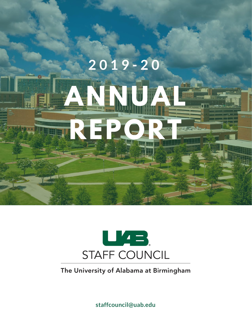



The University of Alabama at Birmingham

**staffcouncil@uab.edu**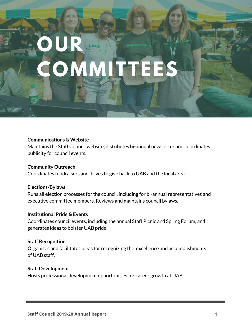## **OUR COMMI**

#### **Communications & Website**

Maintains the Staff Council website, distributes bi-annual newsletter and coordinates publicity for council events.

### **Community Outreach**

Coordinates fundraisers and drives to give back to UAB and the local area.

#### **Elections/Bylaws**

Runs all election processes for the council, including for bi-annual representatives and executive committee members. Reviews and maintains council bylaws.

#### **Institutional Pride & Events**

Coordinates council events, including the annual Staff Picnic and Spring Forum, and generates ideas to bolster UAB pride.

#### **Staff Recognition**

**O**rganizes and facilitates ideas for recognizing the excellence and accomplishments of UAB staff.

#### **Staff Development**

Hosts professional development opportunities for career growth at UAB.